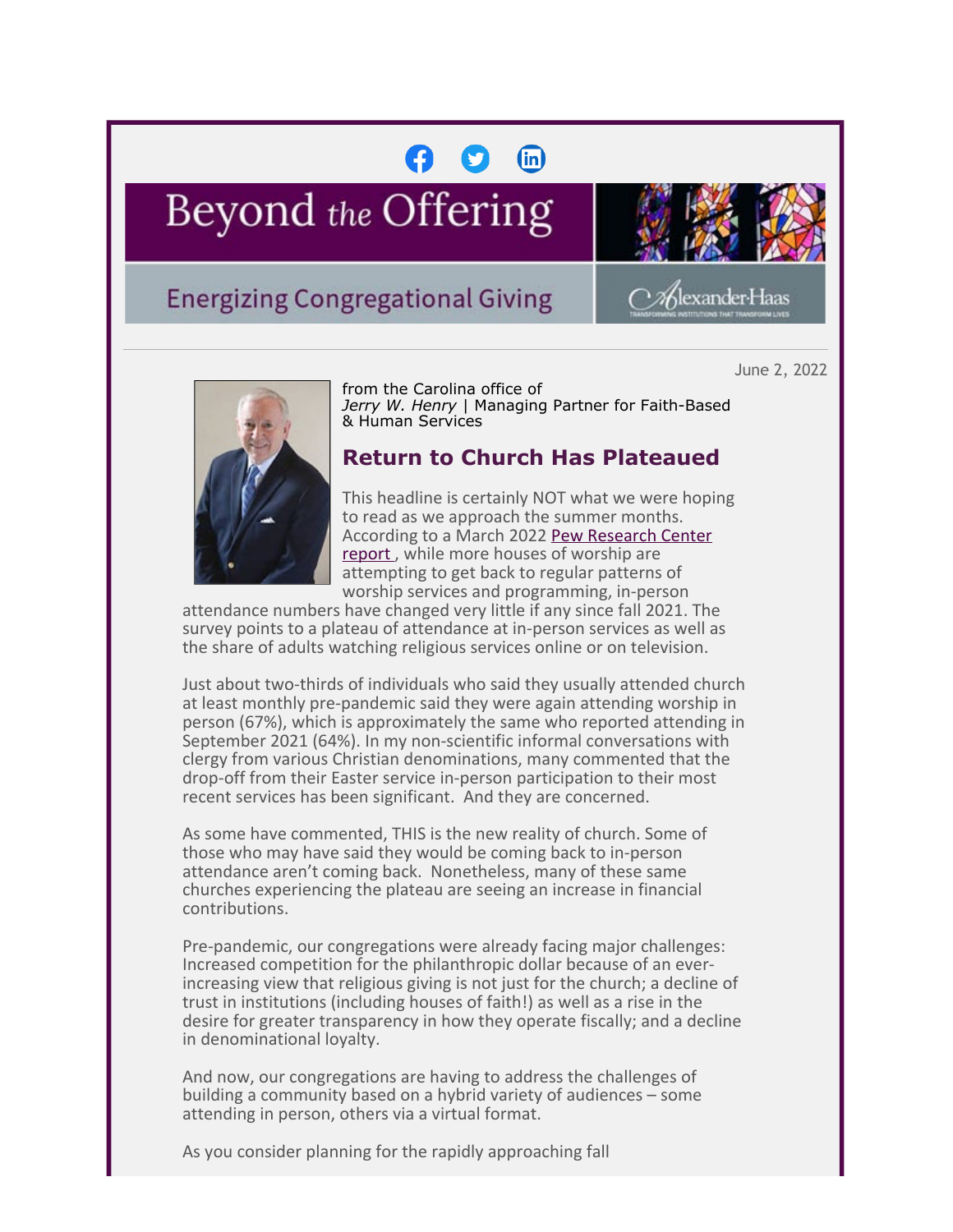## $\binom{m}{n}$

# Beyond the Offering



≫Klexander:Haas

## **Energizing Congregational Giving**

June 2, 2022



from the Carolina office of *Jerry W. Henry* | Managing Partner for Faith-Based & Human Services

### **Return to Church Has Plateaued**

This headline is certainly NOT what we were hoping to read as we approach the summer months. According to a March 2022 [Pew Research Center](https://cl.exct.net/?qs=ea9133e30d54c6fefa5697013d3c5384297e8bfc0873ddfab99e3c277a6e2d3cabca62f8185c7c4cc6c9cc8500b440f1) [report](https://cl.exct.net/?qs=ea9133e30d54c6fefa5697013d3c5384297e8bfc0873ddfab99e3c277a6e2d3cabca62f8185c7c4cc6c9cc8500b440f1), while more houses of worship are attempting to get back to regular patterns of worship services and programming, in-person

attendance numbers have changed very little if any since fall 2021. The survey points to a plateau of attendance at in-person services as well as the share of adults watching religious services online or on television.

Just about two-thirds of individuals who said they usually attended church at least monthly pre-pandemic said they were again attending worship in person (67%), which is approximately the same who reported attending in September 2021 (64%). In my non-scientific informal conversations with clergy from various Christian denominations, many commented that the drop-off from their Easter service in-person participation to their most recent services has been significant. And they are concerned.

As some have commented, THIS is the new reality of church. Some of those who may have said they would be coming back to in-person attendance aren't coming back. Nonetheless, many of these same churches experiencing the plateau are seeing an increase in financial contributions.

Pre-pandemic, our congregations were already facing major challenges: Increased competition for the philanthropic dollar because of an everincreasing view that religious giving is not just for the church; a decline of trust in institutions (including houses of faith!) as well as a rise in the desire for greater transparency in how they operate fiscally; and a decline in denominational loyalty.

And now, our congregations are having to address the challenges of building a community based on a hybrid variety of audiences – some attending in person, others via a virtual format.

As you consider planning for the rapidly approaching fall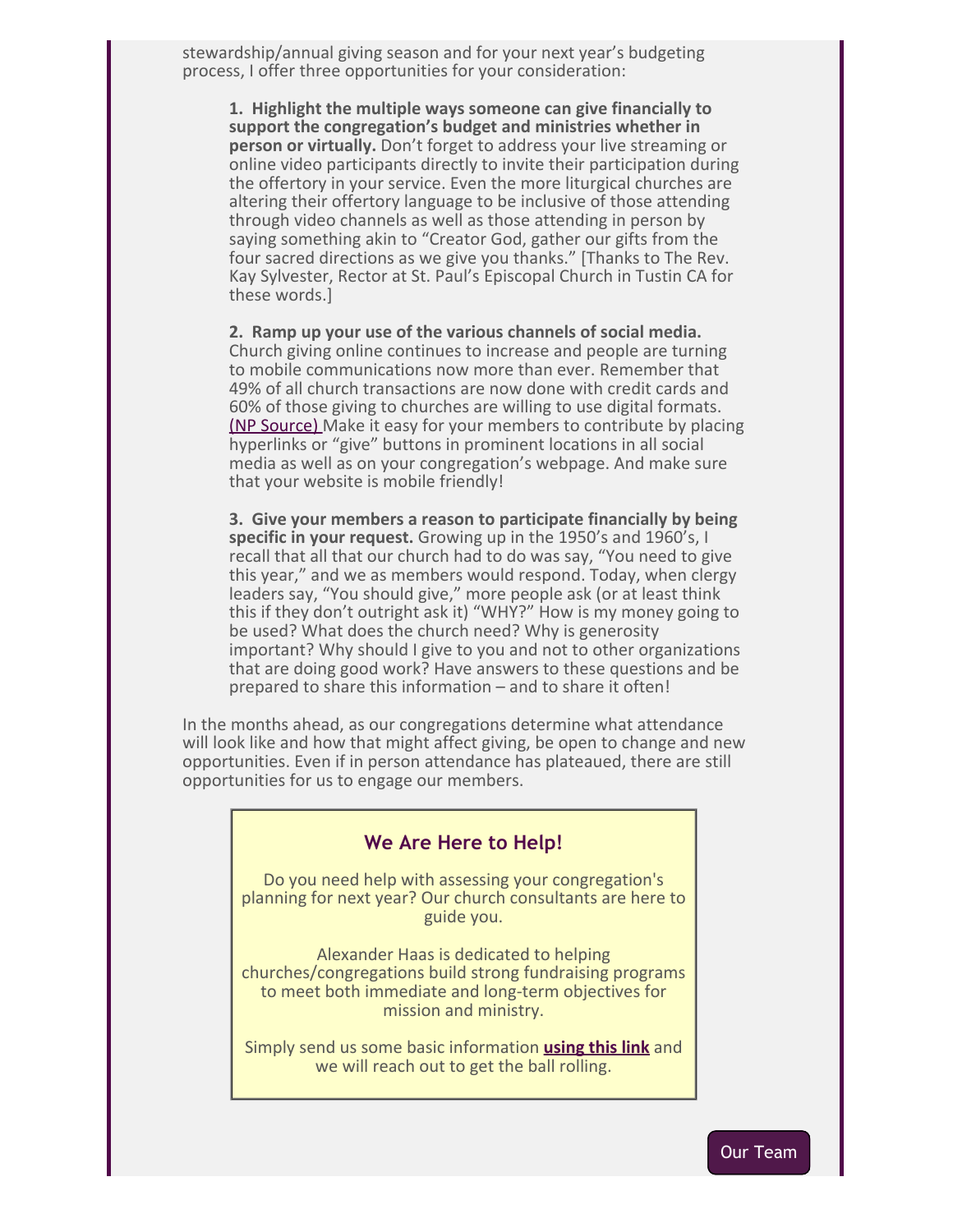stewardship/annual giving season and for your next year's budgeting process, I offer three opportunities for your consideration:

**1. Highlight the multiple ways someone can give financially to support the congregation's budget and ministries whether in person or virtually.** Don't forget to address your live streaming or online video participants directly to invite their participation during the offertory in your service. Even the more liturgical churches are altering their offertory language to be inclusive of those attending through video channels as well as those attending in person by saying something akin to "Creator God, gather our gifts from the four sacred directions as we give you thanks." [Thanks to The Rev. Kay Sylvester, Rector at St. Paul's Episcopal Church in Tustin CA for these words.]

**2. Ramp up your use of the various channels of social media.** Church giving online continues to increase and people are turning to mobile communications now more than ever. Remember that 49% of all church transactions are now done with credit cards and 60% of those giving to churches are willing to use digital formats. [\(NP Source\)](https://cl.exct.net/?qs=ea9133e30d54c6fe217a6d8660b78803a3e83a21aed2740ab3faa14bc9aaf3be70c007982af65733298217a4983fe55b) Make it easy for your members to contribute by placing hyperlinks or "give" buttons in prominent locations in all social media as well as on your congregation's webpage. And make sure that your website is mobile friendly!

**3. Give your members a reason to participate financially by being specific in your request.** Growing up in the 1950's and 1960's, I recall that all that our church had to do was say, "You need to give this year," and we as members would respond. Today, when clergy leaders say, "You should give," more people ask (or at least think this if they don't outright ask it) "WHY?" How is my money going to be used? What does the church need? Why is generosity important? Why should I give to you and not to other organizations that are doing good work? Have answers to these questions and be prepared to share this information – and to share it often!

In the months ahead, as our congregations determine what attendance will look like and how that might affect giving, be open to change and new opportunities. Even if in person attendance has plateaued, there are still opportunities for us to engage our members.

#### **We Are Here to Help!**

Do you need help with assessing your congregation's planning for next year? Our church consultants are here to guide you.

Alexander Haas is dedicated to helping churches/congregations build strong fundraising programs to meet both immediate and long-term objectives for mission and ministry.

Simply send us some basic information **[using this link](mailto:j.henry@alexanderhaas.com?subject=Let)** and we will reach out to get the ball rolling.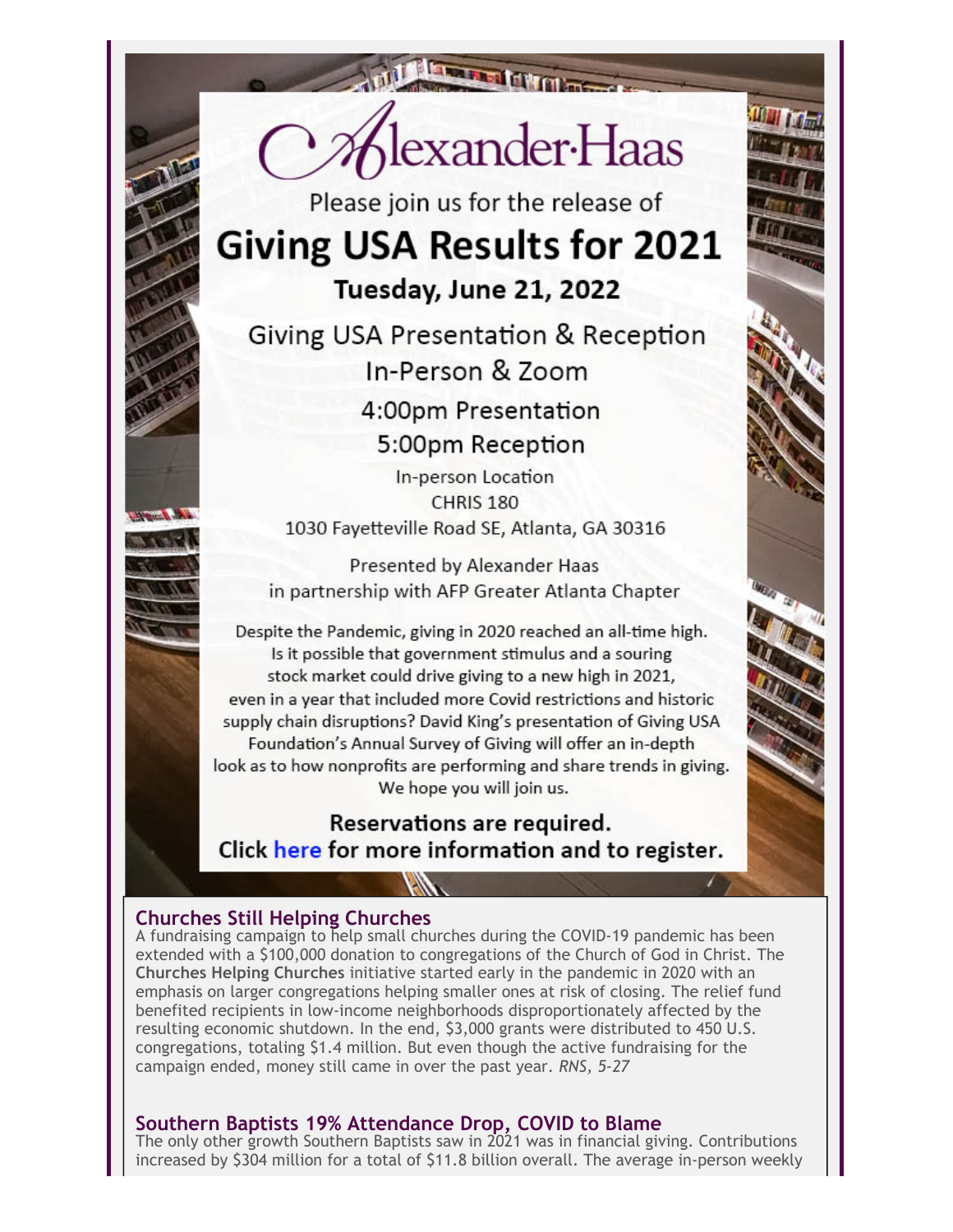

Please join us for the release of **Giving USA Results for 2021** Tuesday, June 21, 2022

Giving USA Presentation & Reception In-Person & Zoom 4:00pm Presentation 5:00pm Reception

In-person Location CHRIS<sub>180</sub> 1030 Fayetteville Road SE, Atlanta, GA 30316

Presented by Alexander Haas in partnership with AFP Greater Atlanta Chapter

Despite the Pandemic, giving in 2020 reached an all-time high. Is it possible that government stimulus and a souring stock market could drive giving to a new high in 2021, even in a vear that included more Covid restrictions and historic supply chain disruptions? David King's presentation of Giving USA Foundation's Annual Survey of Giving will offer an in-depth look as to how nonprofits are performing and share trends in giving. We hope you will join us.

Reservations are required. Click here for more information and to register.

#### **Churches Still Helping Churches**

A fundraising campaign to help small churches during the COVID-19 pandemic has been extended with a \$100,000 donation to congregations of the Church of God in Christ. The **Churches Helping Churches** initiative started early in the pandemic in 2020 with an emphasis on larger congregations helping smaller ones at risk of closing. The relief fund benefited recipients in low-income neighborhoods disproportionately affected by the resulting economic shutdown. In the end, \$3,000 grants were distributed to 450 U.S. congregations, totaling \$1.4 million. But even though the active fundraising for the campaign ended, money still came in over the past year. *RNS, 5-27*

#### **Southern Baptists 19% Attendance Drop, COVID to Blame**

The only other growth Southern Baptists saw in 2021 was in financial giving. Contributions increased by \$304 million for a total of \$11.8 billion overall. The average in-person weekly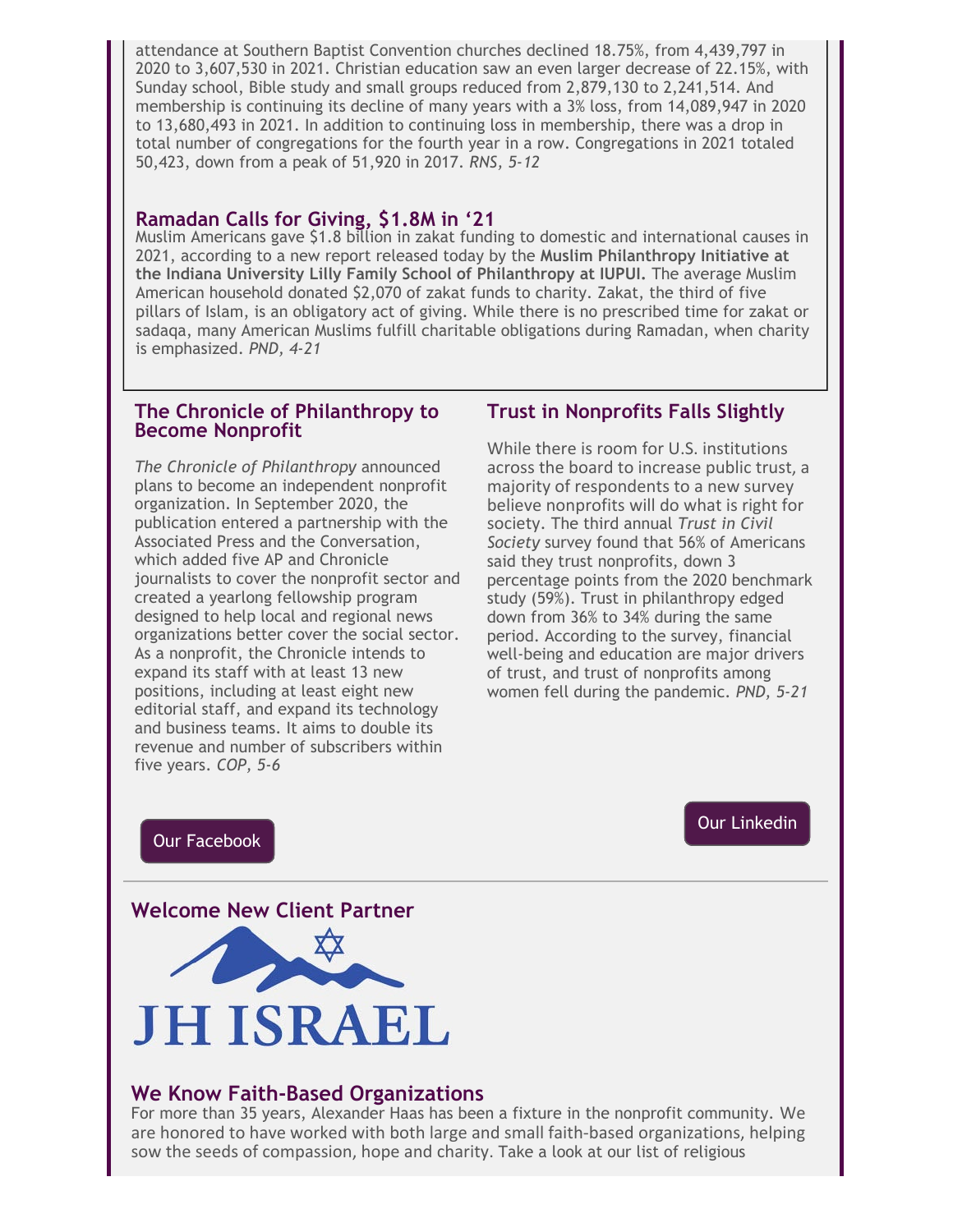attendance at Southern Baptist Convention churches declined 18.75%, from 4,439,797 in 2020 to 3,607,530 in 2021. Christian education saw an even larger decrease of 22.15%, with Sunday school, Bible study and small groups reduced from 2,879,130 to 2,241,514. And membership is continuing its decline of many years with a 3% loss, from 14,089,947 in 2020 to 13,680,493 in 2021. In addition to continuing loss in membership, there was a drop in total number of congregations for the fourth year in a row. Congregations in 2021 totaled 50,423, down from a peak of 51,920 in 2017. *RNS, 5-12*

#### **Ramadan Calls for Giving, \$1.8M in '21**

Muslim Americans gave \$1.8 billion in zakat funding to domestic and international causes in 2021, according to a new report released today by the **Muslim Philanthropy Initiative at the Indiana University Lilly Family School of Philanthropy at IUPUI.** The average Muslim American household donated \$2,070 of zakat funds to charity. Zakat, the third of five pillars of Islam, is an obligatory act of giving. While there is no prescribed time for zakat or sadaqa, many American Muslims fulfill charitable obligations during Ramadan, when charity is emphasized. *PND, 4-21*

#### **The Chronicle of Philanthropy to Become Nonprofit**

*The Chronicle of Philanthropy* announced plans to become an independent nonprofit organization. In September 2020, the publication entered a partnership with the Associated Press and the Conversation, which added five AP and Chronicle journalists to cover the nonprofit sector and created a yearlong fellowship program designed to help local and regional news organizations better cover the social sector. As a nonprofit, the Chronicle intends to expand its staff with at least 13 new positions, including at least eight new editorial staff, and expand its technology and business teams. It aims to double its revenue and number of subscribers within five years. *COP, 5-6*

#### **Trust in Nonprofits Falls Slightly**

While there is room for U.S. institutions across the board to increase public trust, a majority of respondents to a new survey believe nonprofits will do what is right for society. The third annual *Trust in Civil Society* survey found that 56% of Americans said they trust nonprofits, down 3 percentage points from the 2020 benchmark study (59%). Trust in philanthropy edged down from 36% to 34% during the same period. According to the survey, financial well-being and education are major drivers of trust, and trust of nonprofits among women fell during the pandemic. *PND, 5-21*

#### [Our Facebook](https://cl.exct.net/?qs=ea9133e30d54c6fe0d7b67dafe8a2261111dac19abce88a02fe55d5ed7189cb7c76690399f6a4130bfcba180b311f2c6)

[Our Linkedin](https://cl.exct.net/?qs=ea9133e30d54c6fe7f356ac90ad526199ee4882cb143667648e229a3967572832bc6d2191c18ae741f8baffd65a5b3bf)

#### **Welcome New Client Partner**



#### **We Know Faith-Based Organizations**

For more than 35 years, Alexander Haas has been a fixture in the nonprofit community. We are honored to have worked with both large and small faith-based organizations, helping sow the seeds of compassion, hope and charity. Take a look at our list of religious